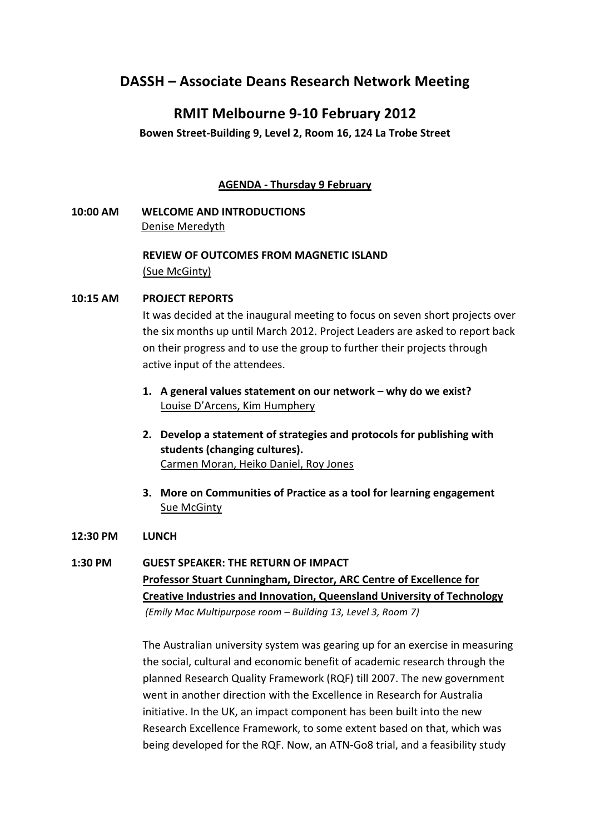# **DASSH – Associate Deans Research Network Meeting**

# **RMIT Melbourne 9-10 February 2012**

# Bowen Street-Building 9, Level 2, Room 16, 124 La Trobe Street

# **AGENDA - Thursday 9 February**

**10:00 AM WELCOME AND INTRODUCTIONS** Denise Meredyth

# **REVIEW OF OUTCOMES FROM MAGNETIC ISLAND** (Sue McGinty)

## **10:15 AM PROJECT REPORTS**

It was decided at the inaugural meeting to focus on seven short projects over the six months up until March 2012. Project Leaders are asked to report back on their progress and to use the group to further their projects through active input of the attendees.

- 1. A general values statement on our network why do we exist? Louise D'Arcens, Kim Humphery
- 2. Develop a statement of strategies and protocols for publishing with students (changing cultures). Carmen Moran, Heiko Daniel, Roy Jones
- **3.** More on Communities of Practice as a tool for learning engagement Sue McGinty

### **12:30 PM LUNCH**

## 1:30 PM GUEST SPEAKER: THE RETURN OF IMPACT

Professor Stuart Cunningham, Director, ARC Centre of Excellence for **Creative Industries and Innovation, Queensland University of Technology** (Emily Mac Multipurpose room - Building 13, Level 3, Room 7)

The Australian university system was gearing up for an exercise in measuring the social, cultural and economic benefit of academic research through the planned Research Quality Framework (RQF) till 2007. The new government went in another direction with the Excellence in Research for Australia initiative. In the UK, an impact component has been built into the new Research Excellence Framework, to some extent based on that, which was being developed for the RQF. Now, an ATN-Go8 trial, and a feasibility study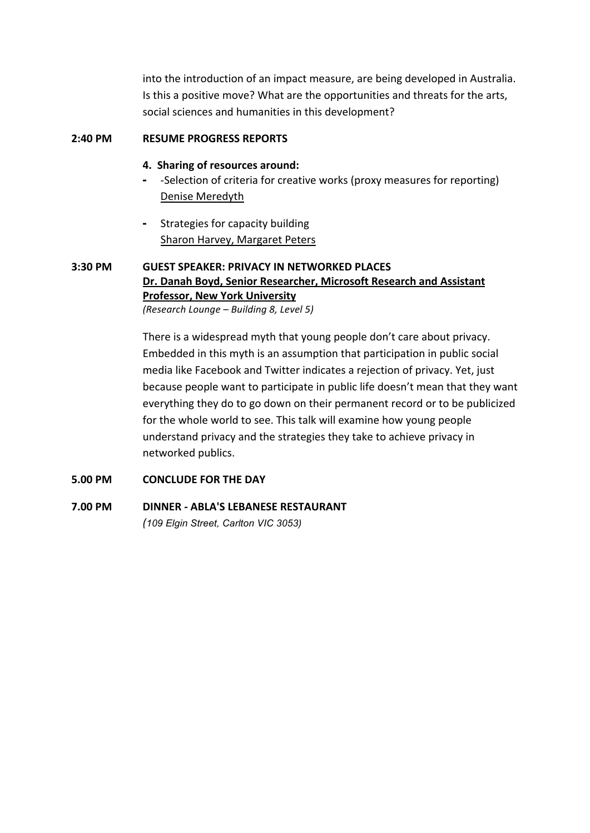into the introduction of an impact measure, are being developed in Australia. Is this a positive move? What are the opportunities and threats for the arts, social sciences and humanities in this development?

## **2:40 PM RESUME PROGRESS REPORTS**

## **4. Sharing of resources around:**

- -Selection of criteria for creative works (proxy measures for reporting) Denise Meredyth
- Strategies for capacity building Sharon Harvey, Margaret Peters

# **3:30 PM GUEST SPEAKER: PRIVACY IN NETWORKED PLACES** Dr. Danah Boyd, Senior Researcher, Microsoft Research and Assistant **Professor, New York University**

*(Research Lounge - Building 8, Level 5)* 

There is a widespread myth that young people don't care about privacy. Embedded in this myth is an assumption that participation in public social media like Facebook and Twitter indicates a rejection of privacy. Yet, just because people want to participate in public life doesn't mean that they want everything they do to go down on their permanent record or to be publicized for the whole world to see. This talk will examine how young people understand privacy and the strategies they take to achieve privacy in networked publics.

# **5.00 PM CONCLUDE FOR THE DAY**

# **7.00 PM DINNER - ABLA'S LEBANESE RESTAURANT** *(109 Elgin Street, Carlton VIC 3053)*